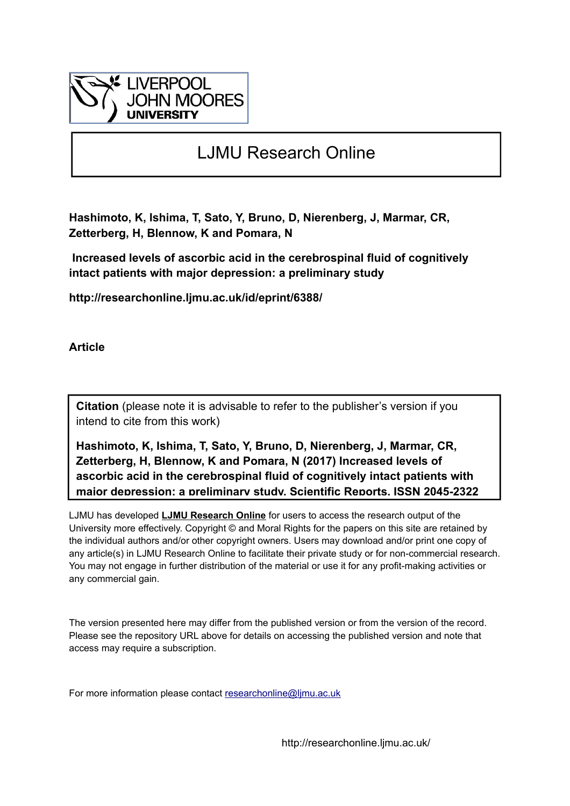

# LJMU Research Online

**Hashimoto, K, Ishima, T, Sato, Y, Bruno, D, Nierenberg, J, Marmar, CR, Zetterberg, H, Blennow, K and Pomara, N**

 **Increased levels of ascorbic acid in the cerebrospinal fluid of cognitively intact patients with major depression: a preliminary study**

**http://researchonline.ljmu.ac.uk/id/eprint/6388/**

**Article**

**Citation** (please note it is advisable to refer to the publisher's version if you intend to cite from this work)

**Hashimoto, K, Ishima, T, Sato, Y, Bruno, D, Nierenberg, J, Marmar, CR, Zetterberg, H, Blennow, K and Pomara, N (2017) Increased levels of ascorbic acid in the cerebrospinal fluid of cognitively intact patients with major depression: a preliminary study. Scientific Reports. ISSN 2045-2322** 

LJMU has developed **[LJMU Research Online](http://researchonline.ljmu.ac.uk/)** for users to access the research output of the University more effectively. Copyright © and Moral Rights for the papers on this site are retained by the individual authors and/or other copyright owners. Users may download and/or print one copy of any article(s) in LJMU Research Online to facilitate their private study or for non-commercial research. You may not engage in further distribution of the material or use it for any profit-making activities or any commercial gain.

The version presented here may differ from the published version or from the version of the record. Please see the repository URL above for details on accessing the published version and note that access may require a subscription.

For more information please contact researchonline@limu.ac.uk

http://researchonline.ljmu.ac.uk/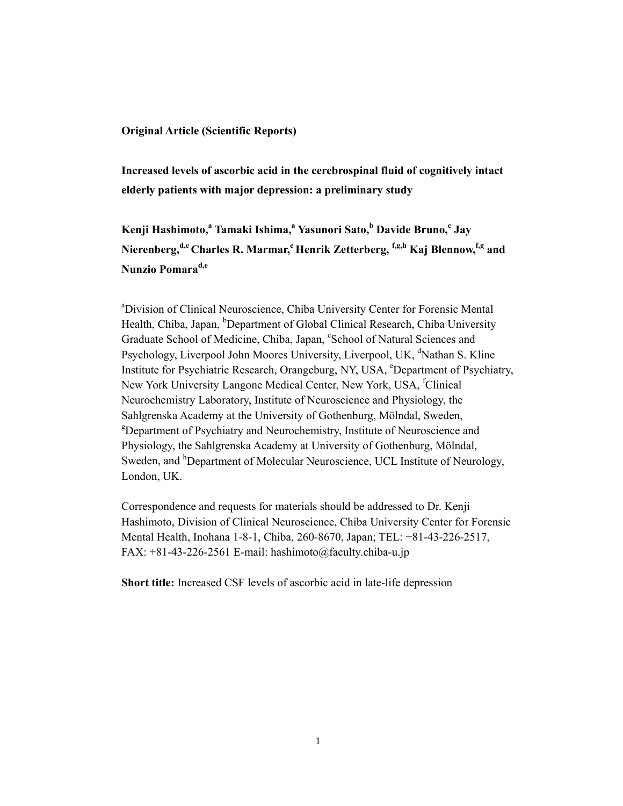# **Original Article (Scientific Reports)**

**Increased levels of ascorbic acid in the cerebrospinal fluid of cognitively intact elderly patients with major depression: a preliminary study** 

 $\kappa$ enji Hashimoto, $^{\mathrm{a}}$  Tamaki Ishima, $^{\mathrm{a}}$  Yasunori Sato, $^{\mathrm{b}}$  Davide Bruno, $^{\mathrm{c}}$  Jay Nierenberg,<sup>d,e</sup> Charles R. Marmar,<sup>e</sup> Henrik Zetterberg, <sup>f,g,h</sup> Kaj Blennow,<sup>f,g</sup> and **Nunzio Pomara**<sup>d,e</sup>

a Division of Clinical Neuroscience, Chiba University Center for Forensic Mental Health, Chiba, Japan, <sup>b</sup>Department of Global Clinical Research, Chiba University Graduate School of Medicine, Chiba, Japan, 'School of Natural Sciences and Psychology, Liverpool John Moores University, Liverpool, UK, <sup>d</sup>Nathan S. Kline Institute for Psychiatric Research, Orangeburg, NY, USA, <sup>e</sup>Department of Psychiatry, New York University Langone Medical Center, New York, USA, <sup>f</sup>Clinical Neurochemistry Laboratory, Institute of Neuroscience and Physiology, the Sahlgrenska Academy at the University of Gothenburg, Mölndal, Sweden, <sup>g</sup>Department of Psychiatry and Neurochemistry, Institute of Neuroscience and Physiology, the Sahlgrenska Academy at University of Gothenburg, Mölndal, Sweden, and <sup>h</sup>Department of Molecular Neuroscience, UCL Institute of Neurology, London, UK.

Correspondence and requests for materials should be addressed to Dr. Kenji Hashimoto, Division of Clinical Neuroscience, Chiba University Center for Forensic Mental Health, Inohana 1-8-1, Chiba, 260-8670, Japan; TEL: +81-43-226-2517, FAX: +81-43-226-2561 E-mail: hashimoto@faculty.chiba-u.jp

**Short title:** Increased CSF levels of ascorbic acid in late-life depression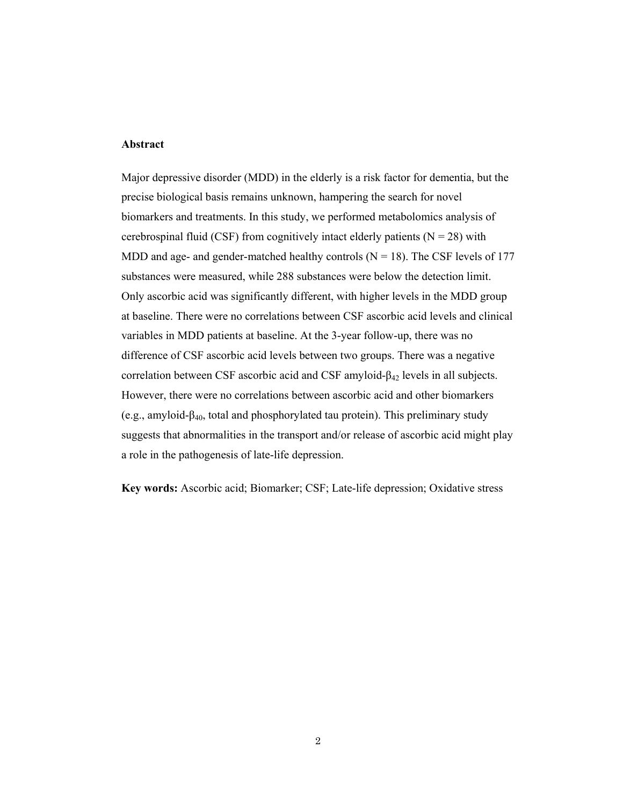#### **Abstract**

Major depressive disorder (MDD) in the elderly is a risk factor for dementia, but the precise biological basis remains unknown, hampering the search for novel biomarkers and treatments. In this study, we performed metabolomics analysis of cerebrospinal fluid (CSF) from cognitively intact elderly patients ( $N = 28$ ) with MDD and age- and gender-matched healthy controls ( $N = 18$ ). The CSF levels of 177 substances were measured, while 288 substances were below the detection limit. Only ascorbic acid was significantly different, with higher levels in the MDD group at baseline. There were no correlations between CSF ascorbic acid levels and clinical variables in MDD patients at baseline. At the 3-year follow-up, there was no difference of CSF ascorbic acid levels between two groups. There was a negative correlation between CSF ascorbic acid and CSF amyloid-β42 levels in all subjects. However, there were no correlations between ascorbic acid and other biomarkers (e.g., amyloid-β40, total and phosphorylated tau protein). This preliminary study suggests that abnormalities in the transport and/or release of ascorbic acid might play a role in the pathogenesis of late-life depression.

**Key words:** Ascorbic acid; Biomarker; CSF; Late-life depression; Oxidative stress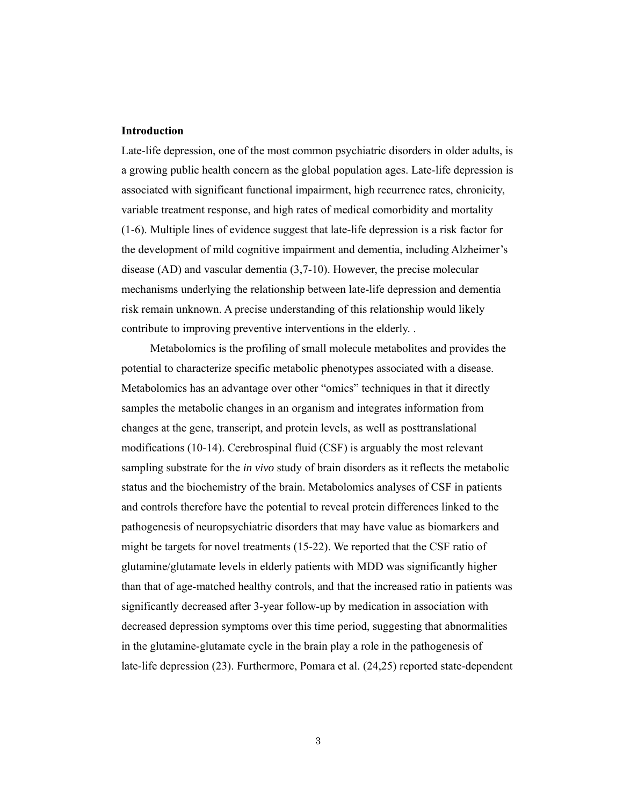### **Introduction**

Late-life depression, one of the most common psychiatric disorders in older adults, is a growing public health concern as the global population ages. Late-life depression is associated with significant functional impairment, high recurrence rates, chronicity, variable treatment response, and high rates of medical comorbidity and mortality (1-6). Multiple lines of evidence suggest that late-life depression is a risk factor for the development of mild cognitive impairment and dementia, including Alzheimer's disease (AD) and vascular dementia (3,7-10). However, the precise molecular mechanisms underlying the relationship between late-life depression and dementia risk remain unknown. A precise understanding of this relationship would likely contribute to improving preventive interventions in the elderly. .

Metabolomics is the profiling of small molecule metabolites and provides the potential to characterize specific metabolic phenotypes associated with a disease. Metabolomics has an advantage over other "omics" techniques in that it directly samples the metabolic changes in an organism and integrates information from changes at the gene, transcript, and protein levels, as well as posttranslational modifications (10-14). Cerebrospinal fluid (CSF) is arguably the most relevant sampling substrate for the *in vivo* study of brain disorders as it reflects the metabolic status and the biochemistry of the brain. Metabolomics analyses of CSF in patients and controls therefore have the potential to reveal protein differences linked to the pathogenesis of neuropsychiatric disorders that may have value as biomarkers and might be targets for novel treatments (15-22). We reported that the CSF ratio of glutamine/glutamate levels in elderly patients with MDD was significantly higher than that of age-matched healthy controls, and that the increased ratio in patients was significantly decreased after 3-year follow-up by medication in association with decreased depression symptoms over this time period, suggesting that abnormalities in the glutamine-glutamate cycle in the brain play a role in the pathogenesis of late-life depression (23). Furthermore, Pomara et al. (24,25) reported state-dependent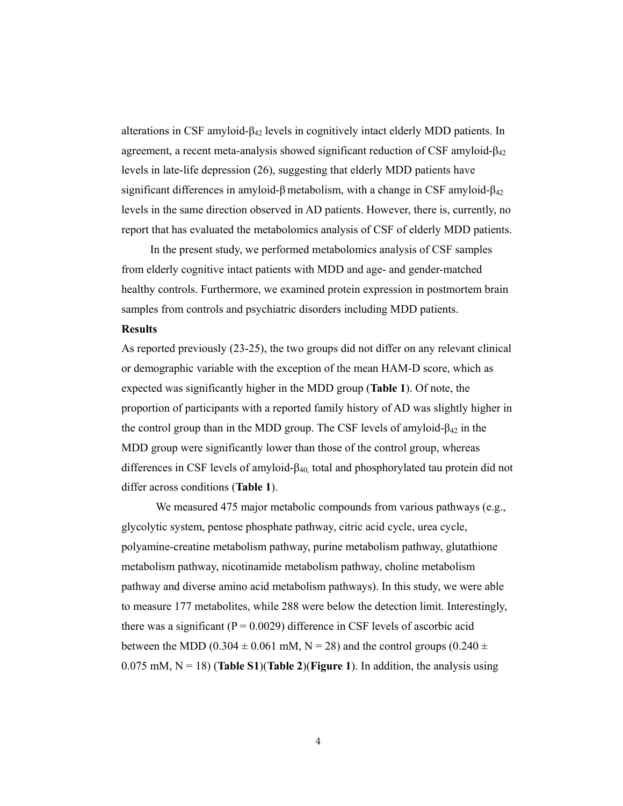alterations in CSF amyloid-β42 levels in cognitively intact elderly MDD patients. In agreement, a recent meta-analysis showed significant reduction of CSF amyloid-β<sup>42</sup> levels in late-life depression (26), suggesting that elderly MDD patients have significant differences in amyloid-β metabolism, with a change in CSF amyloid-β<sup>42</sup> levels in the same direction observed in AD patients. However, there is, currently, no report that has evaluated the metabolomics analysis of CSF of elderly MDD patients.

In the present study, we performed metabolomics analysis of CSF samples from elderly cognitive intact patients with MDD and age- and gender-matched healthy controls. Furthermore, we examined protein expression in postmortem brain samples from controls and psychiatric disorders including MDD patients.

#### **Results**

As reported previously (23-25), the two groups did not differ on any relevant clinical or demographic variable with the exception of the mean HAM-D score, which as expected was significantly higher in the MDD group (**Table 1**). Of note, the proportion of participants with a reported family history of AD was slightly higher in the control group than in the MDD group. The CSF levels of amyloid- $\beta_{42}$  in the MDD group were significantly lower than those of the control group, whereas differences in CSF levels of amyloid-β40, total and phosphorylated tau protein did not differ across conditions (**Table 1**).

We measured 475 major metabolic compounds from various pathways (e.g., glycolytic system, pentose phosphate pathway, citric acid cycle, urea cycle, polyamine-creatine metabolism pathway, purine metabolism pathway, glutathione metabolism pathway, nicotinamide metabolism pathway, choline metabolism pathway and diverse amino acid metabolism pathways). In this study, we were able to measure 177 metabolites, while 288 were below the detection limit. Interestingly, there was a significant ( $P = 0.0029$ ) difference in CSF levels of ascorbic acid between the MDD (0.304  $\pm$  0.061 mM, N = 28) and the control groups (0.240  $\pm$ 0.075 mM,  $N = 18$ ) (**Table S1**)(**Table 2**)(**Figure 1**). In addition, the analysis using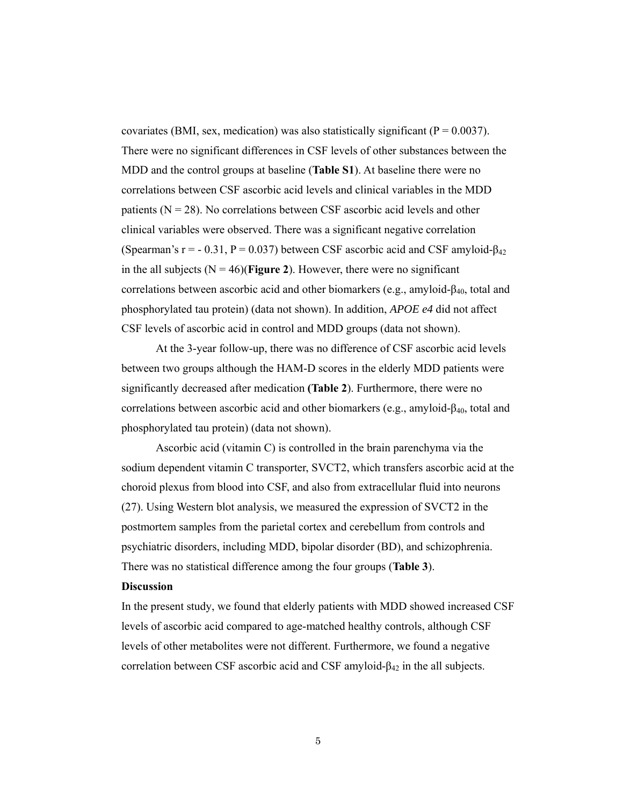covariates (BMI, sex, medication) was also statistically significant ( $P = 0.0037$ ). There were no significant differences in CSF levels of other substances between the MDD and the control groups at baseline (**Table S1**). At baseline there were no correlations between CSF ascorbic acid levels and clinical variables in the MDD patients ( $N = 28$ ). No correlations between CSF ascorbic acid levels and other clinical variables were observed. There was a significant negative correlation (Spearman's r = - 0.31, P = 0.037) between CSF ascorbic acid and CSF amyloid- $\beta_{42}$ in the all subjects  $(N = 46)$ (**Figure 2**). However, there were no significant correlations between ascorbic acid and other biomarkers (e.g., amyloid-β<sub>40</sub>, total and phosphorylated tau protein) (data not shown). In addition, *APOE e4* did not affect CSF levels of ascorbic acid in control and MDD groups (data not shown).

At the 3-year follow-up, there was no difference of CSF ascorbic acid levels between two groups although the HAM-D scores in the elderly MDD patients were significantly decreased after medication **(Table 2**). Furthermore, there were no correlations between ascorbic acid and other biomarkers (e.g., amyloid- $\beta_{40}$ , total and phosphorylated tau protein) (data not shown).

Ascorbic acid (vitamin C) is controlled in the brain parenchyma via the sodium dependent vitamin C transporter, SVCT2, which transfers ascorbic acid at the choroid plexus from blood into CSF, and also from extracellular fluid into neurons (27). Using Western blot analysis, we measured the expression of SVCT2 in the postmortem samples from the parietal cortex and cerebellum from controls and psychiatric disorders, including MDD, bipolar disorder (BD), and schizophrenia. There was no statistical difference among the four groups (**Table 3**).

#### **Discussion**

In the present study, we found that elderly patients with MDD showed increased CSF levels of ascorbic acid compared to age-matched healthy controls, although CSF levels of other metabolites were not different. Furthermore, we found a negative correlation between CSF ascorbic acid and CSF amyloid-β42 in the all subjects.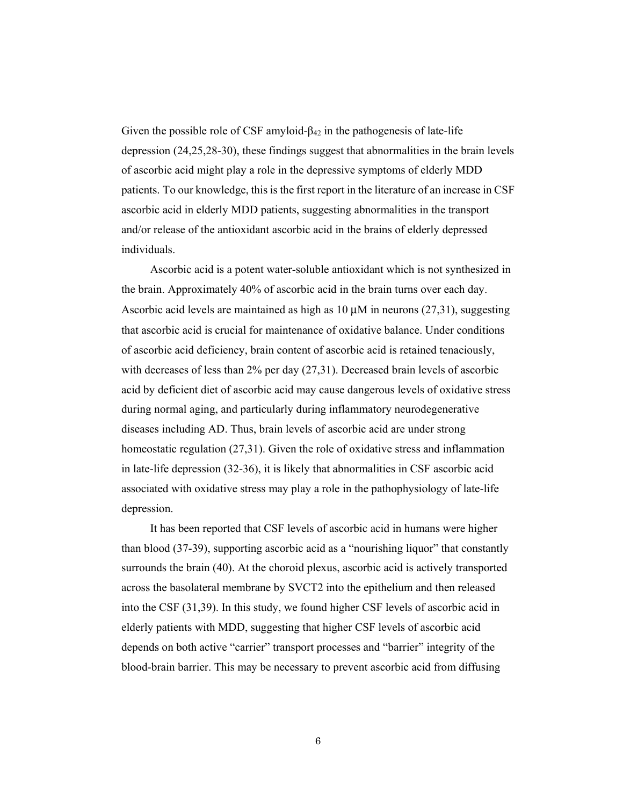Given the possible role of CSF amyloid- $\beta_{42}$  in the pathogenesis of late-life depression (24,25,28-30), these findings suggest that abnormalities in the brain levels of ascorbic acid might play a role in the depressive symptoms of elderly MDD patients. To our knowledge, this is the first report in the literature of an increase in CSF ascorbic acid in elderly MDD patients, suggesting abnormalities in the transport and/or release of the antioxidant ascorbic acid in the brains of elderly depressed individuals.

Ascorbic acid is a potent water-soluble antioxidant which is not synthesized in the brain. Approximately 40% of ascorbic acid in the brain turns over each day. Ascorbic acid levels are maintained as high as  $10 \mu M$  in neurons (27,31), suggesting that ascorbic acid is crucial for maintenance of oxidative balance. Under conditions of ascorbic acid deficiency, brain content of ascorbic acid is retained tenaciously, with decreases of less than 2% per day (27,31). Decreased brain levels of ascorbic acid by deficient diet of ascorbic acid may cause dangerous levels of oxidative stress during normal aging, and particularly during inflammatory neurodegenerative diseases including AD. Thus, brain levels of ascorbic acid are under strong homeostatic regulation (27,31). Given the role of oxidative stress and inflammation in late-life depression (32-36), it is likely that abnormalities in CSF ascorbic acid associated with oxidative stress may play a role in the pathophysiology of late-life depression.

 It has been reported that CSF levels of ascorbic acid in humans were higher than blood (37-39), supporting ascorbic acid as a "nourishing liquor" that constantly surrounds the brain (40). At the choroid plexus, ascorbic acid is actively transported across the basolateral membrane by SVCT2 into the epithelium and then released into the CSF (31,39). In this study, we found higher CSF levels of ascorbic acid in elderly patients with MDD, suggesting that higher CSF levels of ascorbic acid depends on both active "carrier" transport processes and "barrier" integrity of the blood-brain barrier. This may be necessary to prevent ascorbic acid from diffusing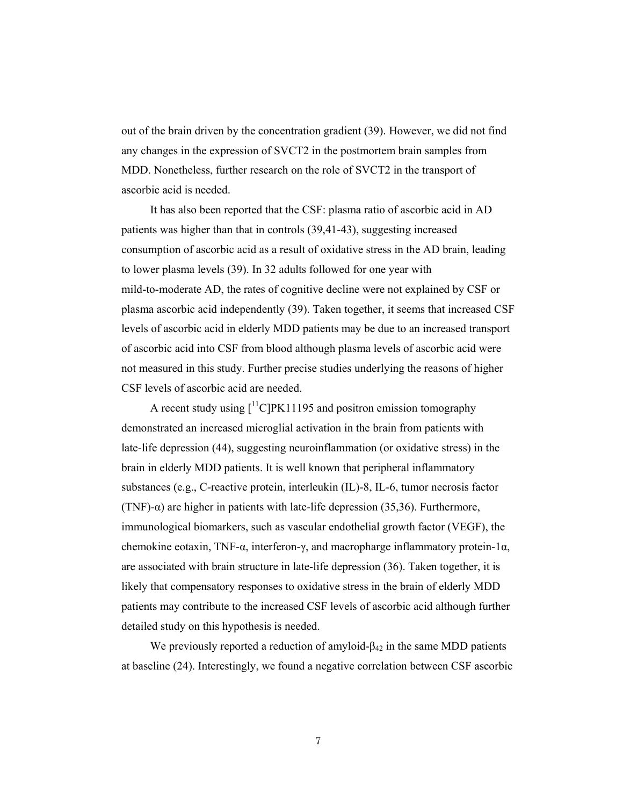out of the brain driven by the concentration gradient (39). However, we did not find any changes in the expression of SVCT2 in the postmortem brain samples from MDD. Nonetheless, further research on the role of SVCT2 in the transport of ascorbic acid is needed.

It has also been reported that the CSF: plasma ratio of ascorbic acid in AD patients was higher than that in controls (39,41-43), suggesting increased consumption of ascorbic acid as a result of oxidative stress in the AD brain, leading to lower plasma levels (39). In 32 adults followed for one year with mild-to-moderate AD, the rates of cognitive decline were not explained by CSF or plasma ascorbic acid independently (39). Taken together, it seems that increased CSF levels of ascorbic acid in elderly MDD patients may be due to an increased transport of ascorbic acid into CSF from blood although plasma levels of ascorbic acid were not measured in this study. Further precise studies underlying the reasons of higher CSF levels of ascorbic acid are needed.

A recent study using  $\int_1^1 C[PK11195]$  and positron emission tomography demonstrated an increased microglial activation in the brain from patients with late-life depression (44), suggesting neuroinflammation (or oxidative stress) in the brain in elderly MDD patients. It is well known that peripheral inflammatory substances (e.g., C-reactive protein, interleukin (IL)-8, IL-6, tumor necrosis factor (TNF)-α) are higher in patients with late-life depression (35,36). Furthermore, immunological biomarkers, such as vascular endothelial growth factor (VEGF), the chemokine eotaxin, TNF-α, interferon-γ, and macropharge inflammatory protein-1α, are associated with brain structure in late-life depression (36). Taken together, it is likely that compensatory responses to oxidative stress in the brain of elderly MDD patients may contribute to the increased CSF levels of ascorbic acid although further detailed study on this hypothesis is needed.

We previously reported a reduction of amyloid- $\beta_{42}$  in the same MDD patients at baseline (24). Interestingly, we found a negative correlation between CSF ascorbic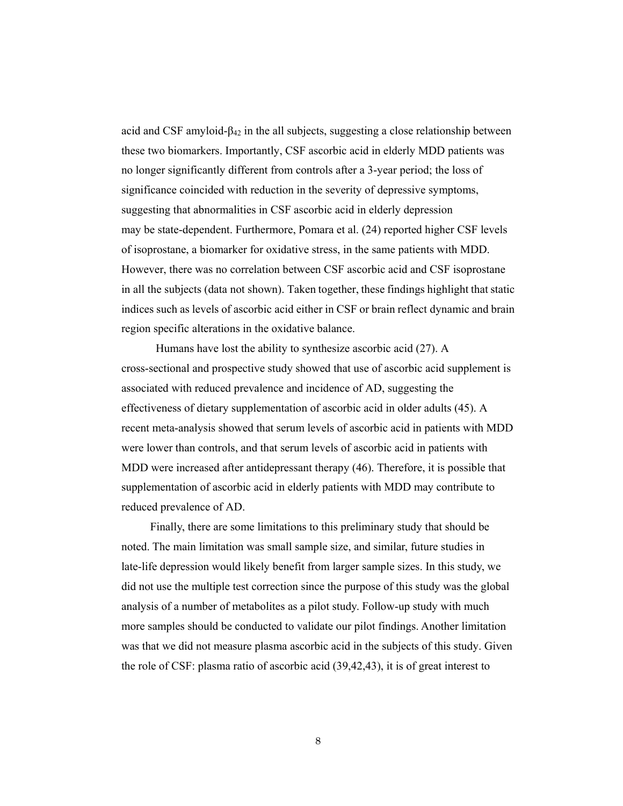acid and CSF amyloid- $\beta_{42}$  in the all subjects, suggesting a close relationship between these two biomarkers. Importantly, CSF ascorbic acid in elderly MDD patients was no longer significantly different from controls after a 3-year period; the loss of significance coincided with reduction in the severity of depressive symptoms, suggesting that abnormalities in CSF ascorbic acid in elderly depression may be state-dependent. Furthermore, Pomara et al. (24) reported higher CSF levels of isoprostane, a biomarker for oxidative stress, in the same patients with MDD. However, there was no correlation between CSF ascorbic acid and CSF isoprostane in all the subjects (data not shown). Taken together, these findings highlight that static indices such as levels of ascorbic acid either in CSF or brain reflect dynamic and brain region specific alterations in the oxidative balance.

 Humans have lost the ability to synthesize ascorbic acid (27). A cross-sectional and prospective study showed that use of ascorbic acid supplement is associated with reduced prevalence and incidence of AD, suggesting the effectiveness of dietary supplementation of ascorbic acid in older adults (45). A recent meta-analysis showed that serum levels of ascorbic acid in patients with MDD were lower than controls, and that serum levels of ascorbic acid in patients with MDD were increased after antidepressant therapy (46). Therefore, it is possible that supplementation of ascorbic acid in elderly patients with MDD may contribute to reduced prevalence of AD.

Finally, there are some limitations to this preliminary study that should be noted. The main limitation was small sample size, and similar, future studies in late-life depression would likely benefit from larger sample sizes. In this study, we did not use the multiple test correction since the purpose of this study was the global analysis of a number of metabolites as a pilot study. Follow-up study with much more samples should be conducted to validate our pilot findings. Another limitation was that we did not measure plasma ascorbic acid in the subjects of this study. Given the role of CSF: plasma ratio of ascorbic acid (39,42,43), it is of great interest to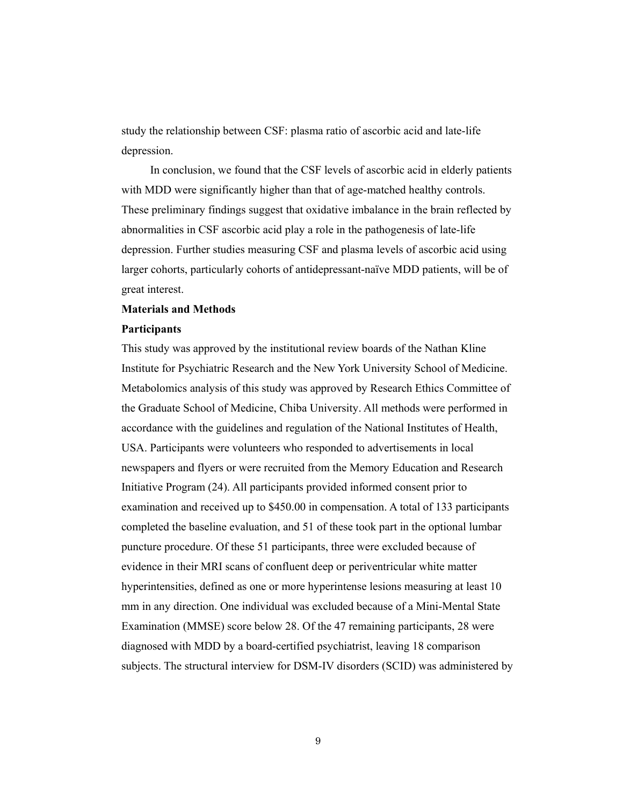study the relationship between CSF: plasma ratio of ascorbic acid and late-life depression.

 In conclusion, we found that the CSF levels of ascorbic acid in elderly patients with MDD were significantly higher than that of age-matched healthy controls. These preliminary findings suggest that oxidative imbalance in the brain reflected by abnormalities in CSF ascorbic acid play a role in the pathogenesis of late-life depression. Further studies measuring CSF and plasma levels of ascorbic acid using larger cohorts, particularly cohorts of antidepressant-naïve MDD patients, will be of great interest.

## **Materials and Methods**

#### **Participants**

This study was approved by the institutional review boards of the Nathan Kline Institute for Psychiatric Research and the New York University School of Medicine. Metabolomics analysis of this study was approved by Research Ethics Committee of the Graduate School of Medicine, Chiba University. All methods were performed in accordance with the guidelines and regulation of the National Institutes of Health, USA. Participants were volunteers who responded to advertisements in local newspapers and flyers or were recruited from the Memory Education and Research Initiative Program (24). All participants provided informed consent prior to examination and received up to \$450.00 in compensation. A total of 133 participants completed the baseline evaluation, and 51 of these took part in the optional lumbar puncture procedure. Of these 51 participants, three were excluded because of evidence in their MRI scans of confluent deep or periventricular white matter hyperintensities, defined as one or more hyperintense lesions measuring at least 10 mm in any direction. One individual was excluded because of a Mini-Mental State Examination (MMSE) score below 28. Of the 47 remaining participants, 28 were diagnosed with MDD by a board-certified psychiatrist, leaving 18 comparison subjects. The structural interview for DSM-IV disorders (SCID) was administered by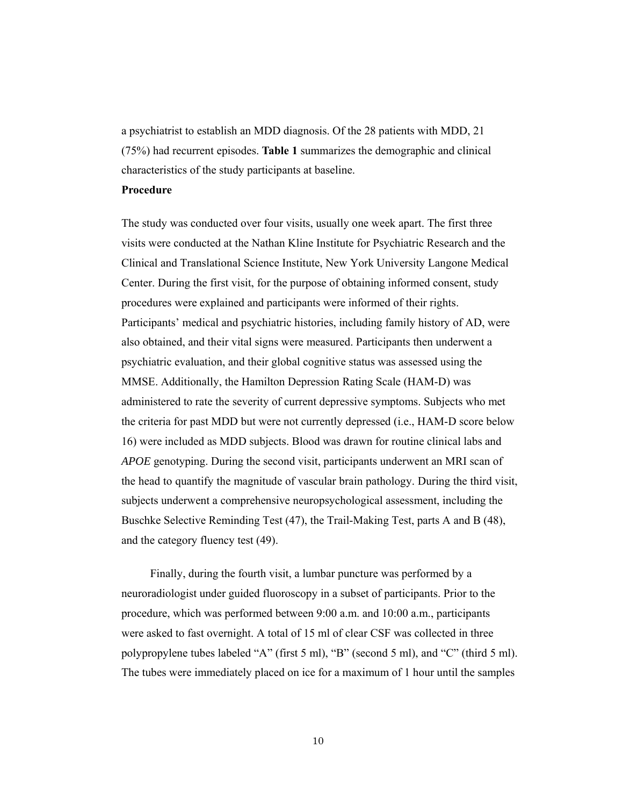a psychiatrist to establish an MDD diagnosis. Of the 28 patients with MDD, 21 (75%) had recurrent episodes. **Table 1** summarizes the demographic and clinical characteristics of the study participants at baseline.

#### **Procedure**

The study was conducted over four visits, usually one week apart. The first three visits were conducted at the Nathan Kline Institute for Psychiatric Research and the Clinical and Translational Science Institute, New York University Langone Medical Center. During the first visit, for the purpose of obtaining informed consent, study procedures were explained and participants were informed of their rights. Participants' medical and psychiatric histories, including family history of AD, were also obtained, and their vital signs were measured. Participants then underwent a psychiatric evaluation, and their global cognitive status was assessed using the MMSE. Additionally, the Hamilton Depression Rating Scale (HAM-D) was administered to rate the severity of current depressive symptoms. Subjects who met the criteria for past MDD but were not currently depressed (i.e., HAM-D score below 16) were included as MDD subjects. Blood was drawn for routine clinical labs and *APOE* genotyping. During the second visit, participants underwent an MRI scan of the head to quantify the magnitude of vascular brain pathology. During the third visit, subjects underwent a comprehensive neuropsychological assessment, including the Buschke Selective Reminding Test (47), the Trail-Making Test, parts A and B (48), and the category fluency test (49).

Finally, during the fourth visit, a lumbar puncture was performed by a neuroradiologist under guided fluoroscopy in a subset of participants. Prior to the procedure, which was performed between 9:00 a.m. and 10:00 a.m., participants were asked to fast overnight. A total of 15 ml of clear CSF was collected in three polypropylene tubes labeled "A" (first 5 ml), "B" (second 5 ml), and "C" (third 5 ml). The tubes were immediately placed on ice for a maximum of 1 hour until the samples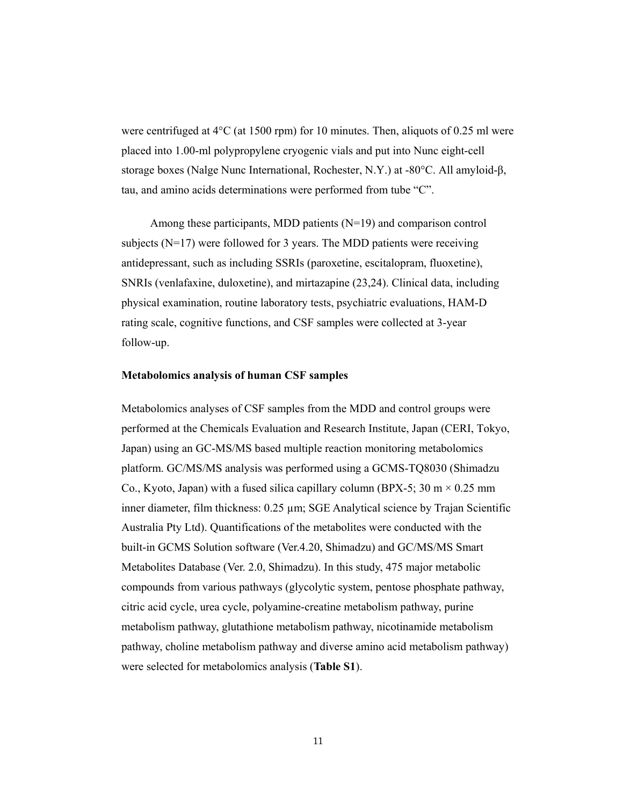were centrifuged at  $4^{\circ}$ C (at 1500 rpm) for 10 minutes. Then, aliquots of 0.25 ml were placed into 1.00-ml polypropylene cryogenic vials and put into Nunc eight-cell storage boxes (Nalge Nunc International, Rochester, N.Y.) at -80°C. All amyloid-β, tau, and amino acids determinations were performed from tube "C".

Among these participants, MDD patients (N=19) and comparison control subjects  $(N=17)$  were followed for 3 years. The MDD patients were receiving antidepressant, such as including SSRIs (paroxetine, escitalopram, fluoxetine), SNRIs (venlafaxine, duloxetine), and mirtazapine (23,24). Clinical data, including physical examination, routine laboratory tests, psychiatric evaluations, HAM-D rating scale, cognitive functions, and CSF samples were collected at 3-year follow-up.

#### **Metabolomics analysis of human CSF samples**

Metabolomics analyses of CSF samples from the MDD and control groups were performed at the Chemicals Evaluation and Research Institute, Japan (CERI, Tokyo, Japan) using an GC-MS/MS based multiple reaction monitoring metabolomics platform. GC/MS/MS analysis was performed using a GCMS-TQ8030 (Shimadzu Co., Kyoto, Japan) with a fused silica capillary column (BPX-5; 30 m  $\times$  0.25 mm inner diameter, film thickness: 0.25 µm; SGE Analytical science by Trajan Scientific Australia Pty Ltd). Quantifications of the metabolites were conducted with the built-in GCMS Solution software (Ver.4.20, Shimadzu) and GC/MS/MS Smart Metabolites Database (Ver. 2.0, Shimadzu). In this study, 475 major metabolic compounds from various pathways (glycolytic system, pentose phosphate pathway, citric acid cycle, urea cycle, polyamine-creatine metabolism pathway, purine metabolism pathway, glutathione metabolism pathway, nicotinamide metabolism pathway, choline metabolism pathway and diverse amino acid metabolism pathway) were selected for metabolomics analysis (**Table S1**).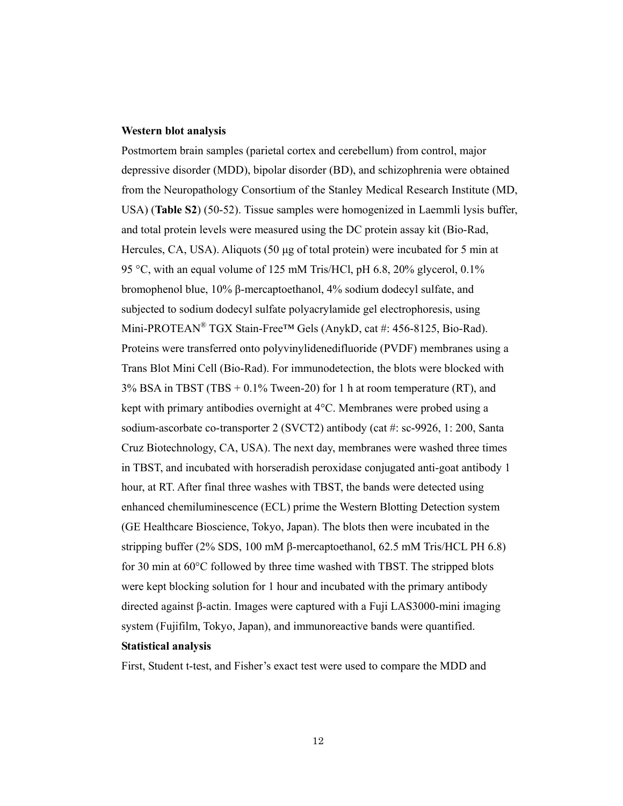#### **Western blot analysis**

Postmortem brain samples (parietal cortex and cerebellum) from control, major depressive disorder (MDD), bipolar disorder (BD), and schizophrenia were obtained from the Neuropathology Consortium of the Stanley Medical Research Institute (MD, USA) (**Table S2**) (50-52). Tissue samples were homogenized in Laemmli lysis buffer, and total protein levels were measured using the DC protein assay kit (Bio-Rad, Hercules, CA, USA). Aliquots (50 μg of total protein) were incubated for 5 min at 95 °C, with an equal volume of 125 mM Tris/HCl, pH 6.8, 20% glycerol, 0.1% bromophenol blue, 10% β-mercaptoethanol, 4% sodium dodecyl sulfate, and subjected to sodium dodecyl sulfate polyacrylamide gel electrophoresis, using Mini-PROTEAN® TGX Stain-Free™ Gels (AnykD, cat #: 456-8125, Bio-Rad). Proteins were transferred onto polyvinylidenedifluoride (PVDF) membranes using a Trans Blot Mini Cell (Bio-Rad). For immunodetection, the blots were blocked with 3% BSA in TBST (TBS + 0.1% Tween-20) for 1 h at room temperature (RT), and kept with primary antibodies overnight at 4°C. Membranes were probed using a sodium-ascorbate co-transporter 2 (SVCT2) antibody (cat #: sc-9926, 1: 200, Santa Cruz Biotechnology, CA, USA). The next day, membranes were washed three times in TBST, and incubated with horseradish peroxidase conjugated anti-goat antibody 1 hour, at RT. After final three washes with TBST, the bands were detected using enhanced chemiluminescence (ECL) prime the Western Blotting Detection system (GE Healthcare Bioscience, Tokyo, Japan). The blots then were incubated in the stripping buffer (2% SDS, 100 mM β-mercaptoethanol, 62.5 mM Tris/HCL PH 6.8) for 30 min at 60°C followed by three time washed with TBST. The stripped blots were kept blocking solution for 1 hour and incubated with the primary antibody directed against β-actin. Images were captured with a Fuji LAS3000-mini imaging system (Fujifilm, Tokyo, Japan), and immunoreactive bands were quantified. **Statistical analysis** 

First, Student t-test, and Fisher's exact test were used to compare the MDD and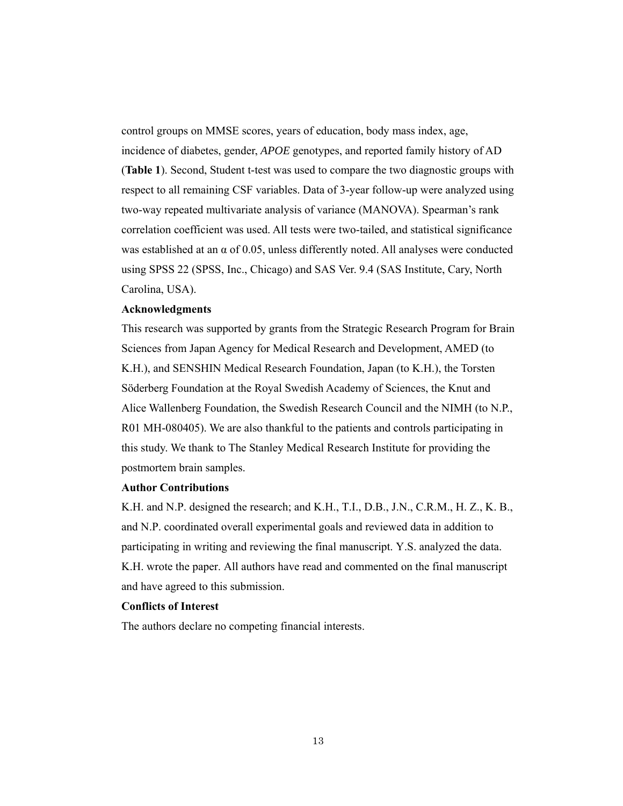control groups on MMSE scores, years of education, body mass index, age, incidence of diabetes, gender, *APOE* genotypes, and reported family history of AD (**Table 1**). Second, Student t-test was used to compare the two diagnostic groups with respect to all remaining CSF variables. Data of 3-year follow-up were analyzed using two-way repeated multivariate analysis of variance (MANOVA). Spearman's rank correlation coefficient was used. All tests were two-tailed, and statistical significance was established at an  $\alpha$  of 0.05, unless differently noted. All analyses were conducted using SPSS 22 (SPSS, Inc., Chicago) and SAS Ver. 9.4 (SAS Institute, Cary, North Carolina, USA).

#### **Acknowledgments**

This research was supported by grants from the Strategic Research Program for Brain Sciences from Japan Agency for Medical Research and Development, AMED (to K.H.), and SENSHIN Medical Research Foundation, Japan (to K.H.), the Torsten Söderberg Foundation at the Royal Swedish Academy of Sciences, the Knut and Alice Wallenberg Foundation, the Swedish Research Council and the NIMH (to N.P., R01 MH-080405). We are also thankful to the patients and controls participating in this study. We thank to The Stanley Medical Research Institute for providing the postmortem brain samples.

## **Author Contributions**

K.H. and N.P. designed the research; and K.H., T.I., D.B., J.N., C.R.M., H. Z., K. B., and N.P. coordinated overall experimental goals and reviewed data in addition to participating in writing and reviewing the final manuscript. Y.S. analyzed the data. K.H. wrote the paper. All authors have read and commented on the final manuscript and have agreed to this submission.

## **Conflicts of Interest**

The authors declare no competing financial interests.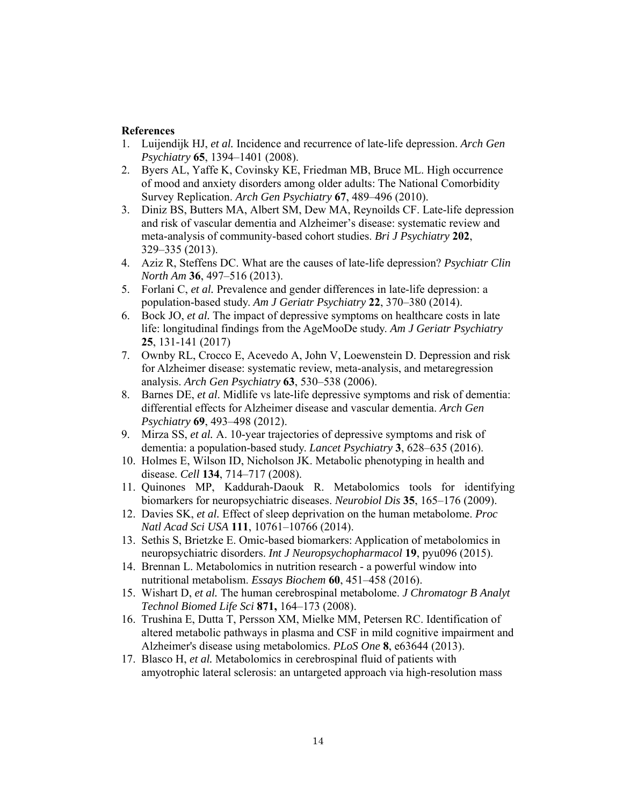## **References**

- 1. Luijendijk HJ, *et al.* Incidence and recurrence of late-life depression. *Arch Gen Psychiatry* **65**, 1394–1401 (2008).
- 2. Byers AL, Yaffe K, Covinsky KE, Friedman MB, Bruce ML. High occurrence of mood and anxiety disorders among older adults: The National Comorbidity Survey Replication. *Arch Gen Psychiatry* **67**, 489–496 (2010).
- 3. Diniz BS, Butters MA, Albert SM, Dew MA, Reynoilds CF. Late-life depression and risk of vascular dementia and Alzheimer's disease: systematic review and meta-analysis of community-based cohort studies. *Bri J Psychiatry* **202**, 329–335 (2013).
- 4. Aziz R, Steffens DC. What are the causes of late-life depression? *Psychiatr Clin North Am* **36**, 497–516 (2013).
- 5. Forlani C, *et al.* Prevalence and gender differences in late-life depression: a population-based study. *Am J Geriatr Psychiatry* **22**, 370–380 (2014).
- 6. Bock JO, *et al.* The impact of depressive symptoms on healthcare costs in late life: longitudinal findings from the AgeMooDe study. *Am J Geriatr Psychiatry* **25**, 131-141 (2017)
- 7. Ownby RL, Crocco E, Acevedo A, John V, Loewenstein D. Depression and risk for Alzheimer disease: systematic review, meta-analysis, and metaregression analysis. *Arch Gen Psychiatry* **63**, 530–538 (2006).
- 8. Barnes DE, *et al*. Midlife vs late-life depressive symptoms and risk of dementia: differential effects for Alzheimer disease and vascular dementia. *Arch Gen Psychiatry* **69**, 493–498 (2012).
- 9. Mirza SS, *et al.* A. 10-year trajectories of depressive symptoms and risk of dementia: a population-based study. *Lancet Psychiatry* **3**, 628–635 (2016).
- 10. Holmes E, Wilson ID, Nicholson JK. Metabolic phenotyping in health and disease. *Cell* **134**, 714–717 (2008).
- 11. Quinones MP, Kaddurah-Daouk R. Metabolomics tools for identifying biomarkers for neuropsychiatric diseases. *Neurobiol Dis* **35**, 165–176 (2009).
- 12. Davies SK, *et al.* Effect of sleep deprivation on the human metabolome. *Proc Natl Acad Sci USA* **111**, 10761–10766 (2014).
- 13. Sethis S, Brietzke E. Omic-based biomarkers: Application of metabolomics in neuropsychiatric disorders. *Int J Neuropsychopharmacol* **19**, pyu096 (2015).
- 14. Brennan L. Metabolomics in nutrition research a powerful window into nutritional metabolism. *Essays Biochem* **60**, 451–458 (2016).
- 15. Wishart D, *et al.* The human cerebrospinal metabolome. *J Chromatogr B Analyt Technol Biomed Life Sci* **871,** 164–173 (2008).
- 16. Trushina E, Dutta T, Persson XM, Mielke MM, Petersen RC. Identification of altered metabolic pathways in plasma and CSF in mild cognitive impairment and Alzheimer's disease using metabolomics. *PLoS One* **8**, e63644 (2013).
- 17. Blasco H, *et al.* Metabolomics in cerebrospinal fluid of patients with amyotrophic lateral sclerosis: an untargeted approach via high-resolution mass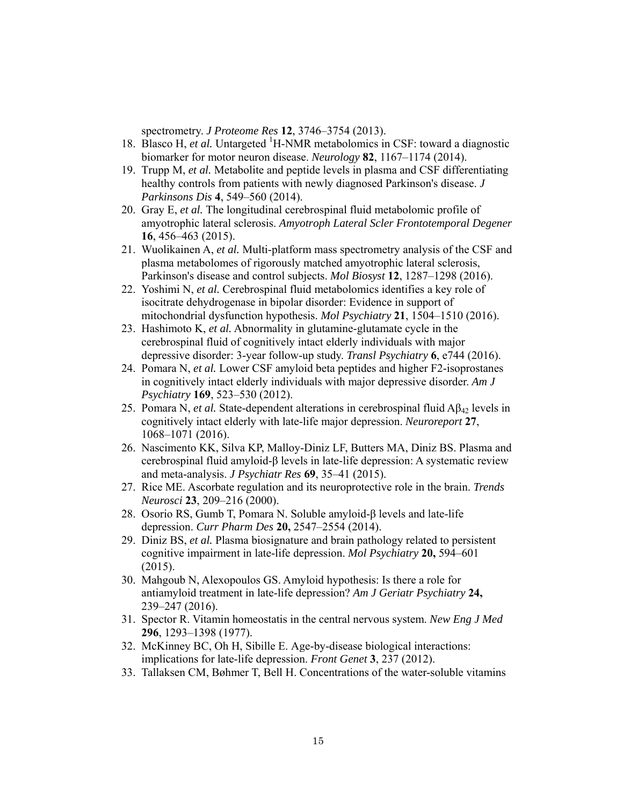spectrometry. *J Proteome Res* **12**, 3746–3754 (2013).

- 18. Blasco H, *et al.* Untargeted <sup>1</sup>H-NMR metabolomics in CSF: toward a diagnostic biomarker for motor neuron disease. *Neurology* **82**, 1167–1174 (2014).
- 19. Trupp M, *et al.* Metabolite and peptide levels in plasma and CSF differentiating healthy controls from patients with newly diagnosed Parkinson's disease. *J Parkinsons Dis* **4**, 549–560 (2014).
- 20. Gray E, *et al.* The longitudinal cerebrospinal fluid metabolomic profile of amyotrophic lateral sclerosis. *Amyotroph Lateral Scler Frontotemporal Degener* **16**, 456–463 (2015).
- 21. Wuolikainen A, *et al.* Multi-platform mass spectrometry analysis of the CSF and plasma metabolomes of rigorously matched amyotrophic lateral sclerosis, Parkinson's disease and control subjects. *Mol Biosyst* **12**, 1287–1298 (2016).
- 22. Yoshimi N, *et al.* Cerebrospinal fluid metabolomics identifies a key role of isocitrate dehydrogenase in bipolar disorder: Evidence in support of mitochondrial dysfunction hypothesis. *Mol Psychiatry* **21**, 1504–1510 (2016).
- 23. Hashimoto K, *et al.* Abnormality in glutamine-glutamate cycle in the cerebrospinal fluid of cognitively intact elderly individuals with major depressive disorder: 3-year follow-up study. *Transl Psychiatry* **6**, e744 (2016).
- 24. Pomara N, *et al.* Lower CSF amyloid beta peptides and higher F2-isoprostanes in cognitively intact elderly individuals with major depressive disorder. *Am J Psychiatry* **169**, 523–530 (2012).
- 25. Pomara N, *et al.* State-dependent alterations in cerebrospinal fluid  $A\beta_{42}$  levels in cognitively intact elderly with late-life major depression. *Neuroreport* **27**, 1068–1071 (2016).
- 26. Nascimento KK, Silva KP, Malloy-Diniz LF, Butters MA, Diniz BS. Plasma and cerebrospinal fluid amyloid-β levels in late-life depression: A systematic review and meta-analysis. *J Psychiatr Res* **69**, 35–41 (2015).
- 27. Rice ME. Ascorbate regulation and its neuroprotective role in the brain. *Trends Neurosci* **23**, 209–216 (2000).
- 28. Osorio RS, Gumb T, Pomara N. Soluble amyloid-β levels and late-life depression. *Curr Pharm Des* **20,** 2547–2554 (2014).
- 29. Diniz BS, *et al.* Plasma biosignature and brain pathology related to persistent cognitive impairment in late-life depression. *Mol Psychiatry* **20,** 594–601 (2015).
- 30. Mahgoub N, Alexopoulos GS. Amyloid hypothesis: Is there a role for antiamyloid treatment in late-life depression? *Am J Geriatr Psychiatry* **24,** 239–247 (2016).
- 31. Spector R. Vitamin homeostatis in the central nervous system. *New Eng J Med* **296**, 1293–1398 (1977).
- 32. McKinney BC, Oh H, Sibille E. Age-by-disease biological interactions: implications for late-life depression. *Front Genet* **3**, 237 (2012).
- 33. Tallaksen CM, Bøhmer T, Bell H. Concentrations of the water-soluble vitamins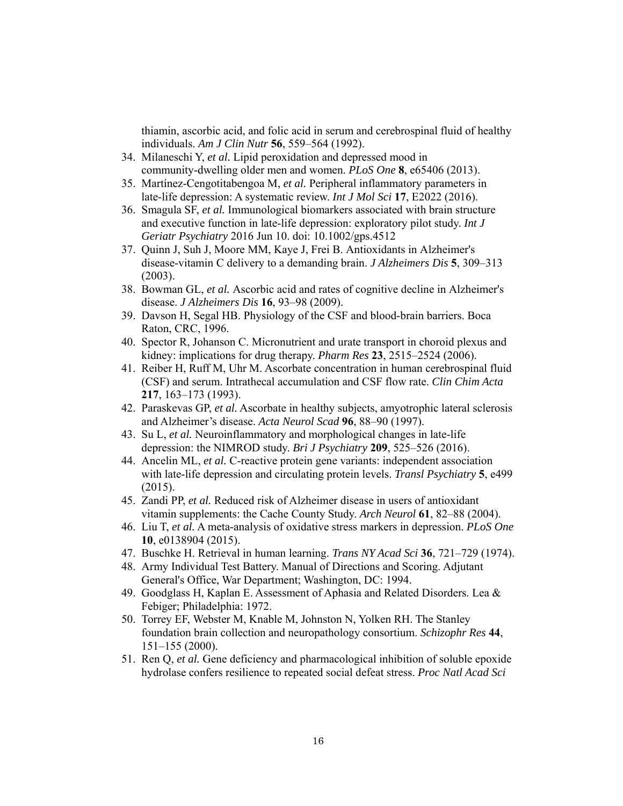thiamin, ascorbic acid, and folic acid in serum and cerebrospinal fluid of healthy individuals. *Am J Clin Nutr* **56**, 559–564 (1992).

- 34. Milaneschi Y, *et al.* Lipid peroxidation and depressed mood in community-dwelling older men and women. *PLoS One* **8**, e65406 (2013).
- 35. Martínez-Cengotitabengoa M, *et al.* Peripheral inflammatory parameters in late-life depression: A systematic review. *Int J Mol Sci* **17**, E2022 (2016).
- 36. Smagula SF, *et al.* Immunological biomarkers associated with brain structure and executive function in late-life depression: exploratory pilot study. *Int J Geriatr Psychiatry* 2016 Jun 10. doi: 10.1002/gps.4512
- 37. Quinn J, Suh J, Moore MM, Kaye J, Frei B. Antioxidants in Alzheimer's disease-vitamin C delivery to a demanding brain. *J Alzheimers Dis* **5**, 309–313 (2003).
- 38. Bowman GL, *et al.* Ascorbic acid and rates of cognitive decline in Alzheimer's disease. *J Alzheimers Dis* **16**, 93–98 (2009).
- 39. Davson H, Segal HB. Physiology of the CSF and blood-brain barriers. Boca Raton, CRC, 1996.
- 40. Spector R, Johanson C. Micronutrient and urate transport in choroid plexus and kidney: implications for drug therapy. *Pharm Res* **23**, 2515–2524 (2006).
- 41. Reiber H, Ruff M, Uhr M. Ascorbate concentration in human cerebrospinal fluid (CSF) and serum. Intrathecal accumulation and CSF flow rate. *Clin Chim Acta* **217**, 163–173 (1993).
- 42. Paraskevas GP, *et al.* Ascorbate in healthy subjects, amyotrophic lateral sclerosis and Alzheimer's disease. *Acta Neurol Scad* **96**, 88–90 (1997).
- 43. Su L, *et al.* Neuroinflammatory and morphological changes in late-life depression: the NIMROD study. *Bri J Psychiatry* **209**, 525–526 (2016).
- 44. Ancelin ML, *et al.* C-reactive protein gene variants: independent association with late-life depression and circulating protein levels. *Transl Psychiatry* **5**, e499 (2015).
- 45. Zandi PP, *et al.* Reduced risk of Alzheimer disease in users of antioxidant vitamin supplements: the Cache County Study. *Arch Neurol* **61**, 82–88 (2004).
- 46. Liu T, *et al.* A meta-analysis of oxidative stress markers in depression. *PLoS One* **10**, e0138904 (2015).
- 47. Buschke H. Retrieval in human learning. *Trans NY Acad Sci* **36**, 721–729 (1974).
- 48. Army Individual Test Battery. Manual of Directions and Scoring. Adjutant General's Office, War Department; Washington, DC: 1994.
- 49. Goodglass H, Kaplan E. Assessment of Aphasia and Related Disorders. Lea & Febiger; Philadelphia: 1972.
- 50. Torrey EF, Webster M, Knable M, Johnston N, Yolken RH. The Stanley foundation brain collection and neuropathology consortium. *Schizophr Res* **44**, 151–155 (2000).
- 51. Ren Q, *et al.* Gene deficiency and pharmacological inhibition of soluble epoxide hydrolase confers resilience to repeated social defeat stress. *Proc Natl Acad Sci*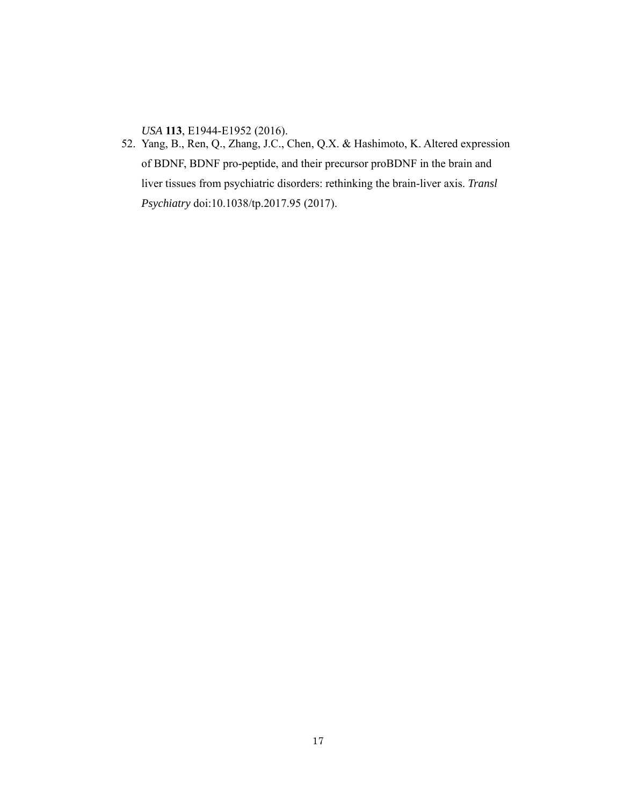*USA* **113**, E1944-E1952 (2016).

52. Yang, B., Ren, Q., Zhang, J.C., Chen, Q.X. & Hashimoto, K. Altered expression of BDNF, BDNF pro-peptide, and their precursor proBDNF in the brain and liver tissues from psychiatric disorders: rethinking the brain-liver axis. *Transl Psychiatry* doi:10.1038/tp.2017.95 (2017).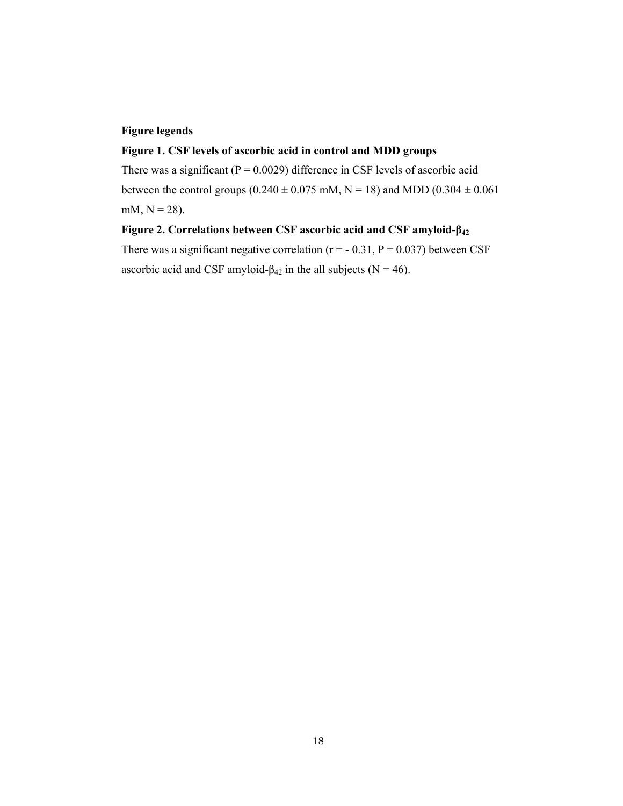# **Figure legends**

# **Figure 1. CSF levels of ascorbic acid in control and MDD groups**

There was a significant ( $P = 0.0029$ ) difference in CSF levels of ascorbic acid between the control groups ( $0.240 \pm 0.075$  mM, N = 18) and MDD ( $0.304 \pm 0.061$ mM,  $N = 28$ ).

# **Figure 2. Correlations between CSF ascorbic acid and CSF amyloid-β<sup>42</sup>**

There was a significant negative correlation ( $r = -0.31$ ,  $P = 0.037$ ) between CSF ascorbic acid and CSF amyloid- $\beta_{42}$  in the all subjects (N = 46).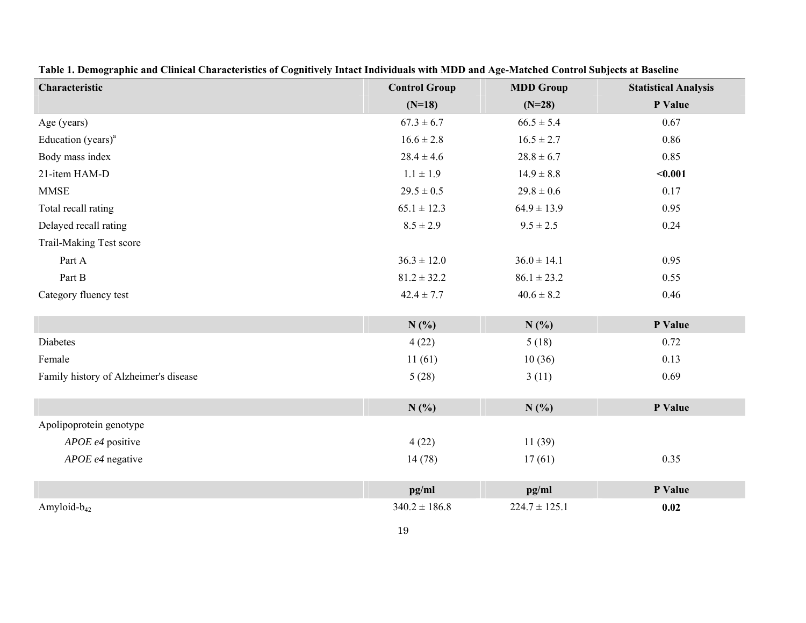| Characteristic                        | <b>Control Group</b> | <b>MDD Group</b>  | <b>Statistical Analysis</b> |
|---------------------------------------|----------------------|-------------------|-----------------------------|
|                                       | $(N=18)$             | $(N=28)$          | P Value                     |
| Age (years)                           | $67.3 \pm 6.7$       | $66.5 \pm 5.4$    | 0.67                        |
| Education (years) <sup>a</sup>        | $16.6 \pm 2.8$       | $16.5 \pm 2.7$    | 0.86                        |
| Body mass index                       | $28.4 \pm 4.6$       | $28.8 \pm 6.7$    | 0.85                        |
| 21-item HAM-D                         | $1.1 \pm 1.9$        | $14.9 \pm 8.8$    | $0.001$                     |
| <b>MMSE</b>                           | $29.5 \pm 0.5$       | $29.8 \pm 0.6$    | 0.17                        |
| Total recall rating                   | $65.1 \pm 12.3$      | $64.9 \pm 13.9$   | 0.95                        |
| Delayed recall rating                 | $8.5 \pm 2.9$        | $9.5 \pm 2.5$     | 0.24                        |
| Trail-Making Test score               |                      |                   |                             |
| Part A                                | $36.3 \pm 12.0$      | $36.0 \pm 14.1$   | 0.95                        |
| Part B                                | $81.2 \pm 32.2$      | $86.1 \pm 23.2$   | 0.55                        |
| Category fluency test                 | $42.4 \pm 7.7$       | $40.6 \pm 8.2$    | 0.46                        |
|                                       |                      |                   |                             |
|                                       | N(%)                 | N(%)              | P Value                     |
| Diabetes                              | 4(22)                | 5(18)             | 0.72                        |
| Female                                | 11(61)               | 10(36)            | 0.13                        |
| Family history of Alzheimer's disease | 5(28)                | 3(11)             | 0.69                        |
|                                       |                      |                   |                             |
|                                       | $N(\%)$              | N(%)              | P Value                     |
| Apolipoprotein genotype               |                      |                   |                             |
| APOE e4 positive                      | 4(22)                | 11(39)            |                             |
| APOE e4 negative                      | 14(78)               | 17(61)            | 0.35                        |
|                                       |                      |                   |                             |
|                                       | pg/ml                | pg/ml             | P Value                     |
| Amyloid-b <sub>42</sub>               | $340.2 \pm 186.8$    | $224.7 \pm 125.1$ | 0.02                        |

**Table 1. Demographic and Clinical Characteristics of Cognitively Intact Individuals with MDD and Age-Matched Control Subjects at Baseline**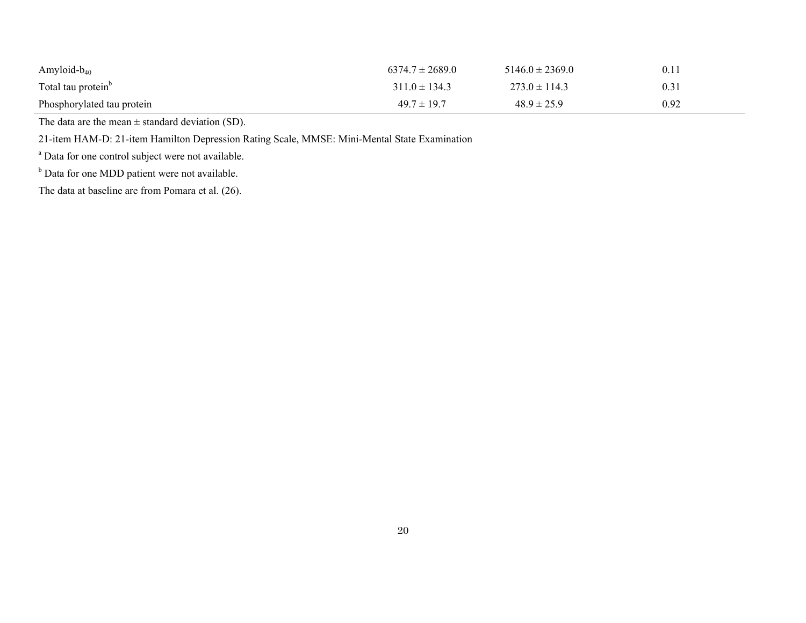| Amyloid- $b_{40}$              | $6374.7 \pm 2689.0$ | $5146.0 \pm 2369.0$ |      |
|--------------------------------|---------------------|---------------------|------|
| Total tau protein <sup>b</sup> | $311.0 \pm 134.3$   | $273.0 \pm 114.3$   | 0.31 |
| Phosphorylated tau protein     | $49.7 \pm 19.7$     | $48.9 \pm 25.9$     | 0.92 |

The data are the mean  $\pm$  standard deviation (SD).

21-item HAM-D: 21-item Hamilton Depression Rating Scale, MMSE: Mini-Mental State Examination

a Data for one control subject were not available.

<sup>b</sup> Data for one MDD patient were not available.

The data at baseline are from Pomara et al. (26).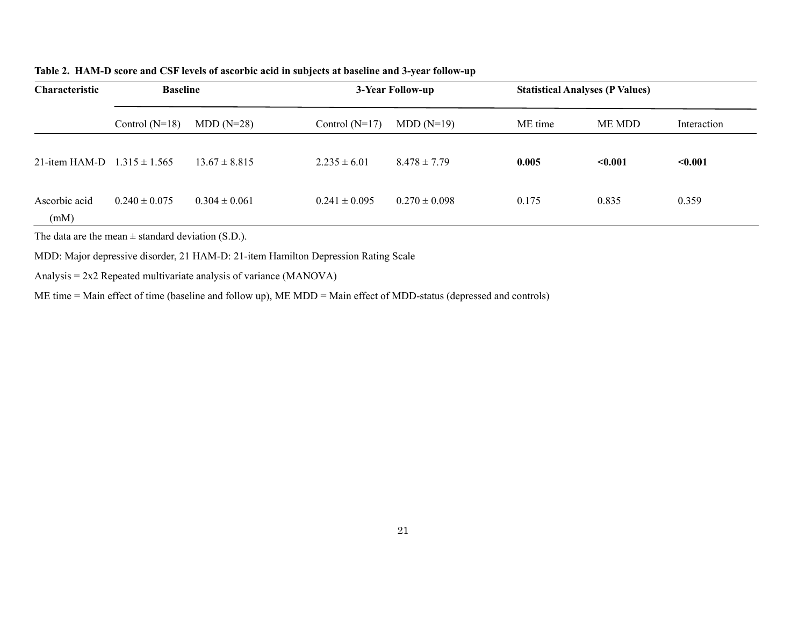| Characteristic                  | <b>Baseline</b>   |                   | 3-Year Follow-up  |                   | <b>Statistical Analyses (P Values)</b> |         |             |  |
|---------------------------------|-------------------|-------------------|-------------------|-------------------|----------------------------------------|---------|-------------|--|
|                                 | Control $(N=18)$  | $MDD(N=28)$       | Control $(N=17)$  | $MDD(N=19)$       | ME time                                | ME MDD  | Interaction |  |
| 21-item HAM-D $1.315 \pm 1.565$ |                   | $13.67 \pm 8.815$ | $2.235 \pm 6.01$  | $8.478 \pm 7.79$  | 0.005                                  | < 0.001 | < 0.001     |  |
| Ascorbic acid<br>(mM)           | $0.240 \pm 0.075$ | $0.304 \pm 0.061$ | $0.241 \pm 0.095$ | $0.270 \pm 0.098$ | 0.175                                  | 0.835   | 0.359       |  |

**Table 2. HAM-D score and CSF levels of ascorbic acid in subjects at baseline and 3-year follow-up** 

The data are the mean  $\pm$  standard deviation (S.D.).

MDD: Major depressive disorder, 21 HAM-D: 21-item Hamilton Depression Rating Scale

Analysis = 2x2 Repeated multivariate analysis of variance (MANOVA)

ME time = Main effect of time (baseline and follow up), ME MDD = Main effect of MDD-status (depressed and controls)